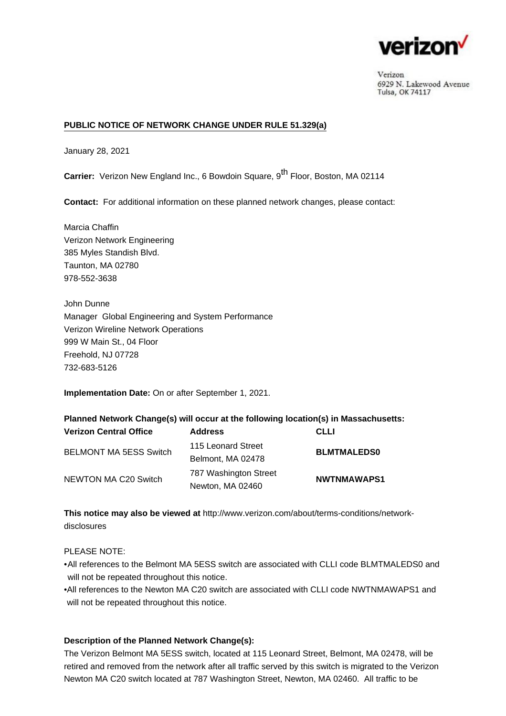

Verizon 6929 N. Lakewood Avenue Tulsa, OK 74117

## **PUBLIC NOTICE OF NETWORK CHANGE UNDER RULE 51.329(a)**

January 28, 2021

**Carrier:** Verizon New England Inc., 6 Bowdoin Square, 9<sup>th</sup> Floor, Boston, MA 02114

**Contact:** For additional information on these planned network changes, please contact:

Marcia Chaffin Verizon Network Engineering 385 Myles Standish Blvd. Taunton, MA 02780 978-552-3638

John Dunne Manager Global Engineering and System Performance Verizon Wireline Network Operations 999 W Main St., 04 Floor Freehold, NJ 07728 732-683-5126

**Implementation Date:** On or after September 1, 2021.

**Planned Network Change(s) will occur at the following location(s) in Massachusetts:**

| <b>Verizon Central Office</b> | <b>Address</b>                            | <b>CLLI</b>        |
|-------------------------------|-------------------------------------------|--------------------|
| <b>BELMONT MA 5ESS Switch</b> | 115 Leonard Street<br>Belmont, MA 02478   | <b>BLMTMALEDS0</b> |
| NEWTON MA C20 Switch          | 787 Washington Street<br>Newton, MA 02460 | <b>NWTNMAWAPS1</b> |

**This notice may also be viewed at** [http://www.verizon.com/about/terms-conditions/network](http://www.verizon.com/about/terms-conditions/network-disclosures)[disclosures](http://www.verizon.com/about/terms-conditions/network-disclosures)

PLEASE NOTE:

•All references to the Belmont MA 5ESS switch are associated with CLLI code BLMTMALEDS0 and will not be repeated throughout this notice.

All references to the Newton MA C20 switch are associated with CLLI code NWTNMAWAPS1 and • will not be repeated throughout this notice.

## **Description of the Planned Network Change(s):**

The Verizon Belmont MA 5ESS switch, located at 115 Leonard Street, Belmont, MA 02478, will be retired and removed from the network after all traffic served by this switch is migrated to the Verizon Newton MA C20 switch located at 787 Washington Street, Newton, MA 02460. All traffic to be